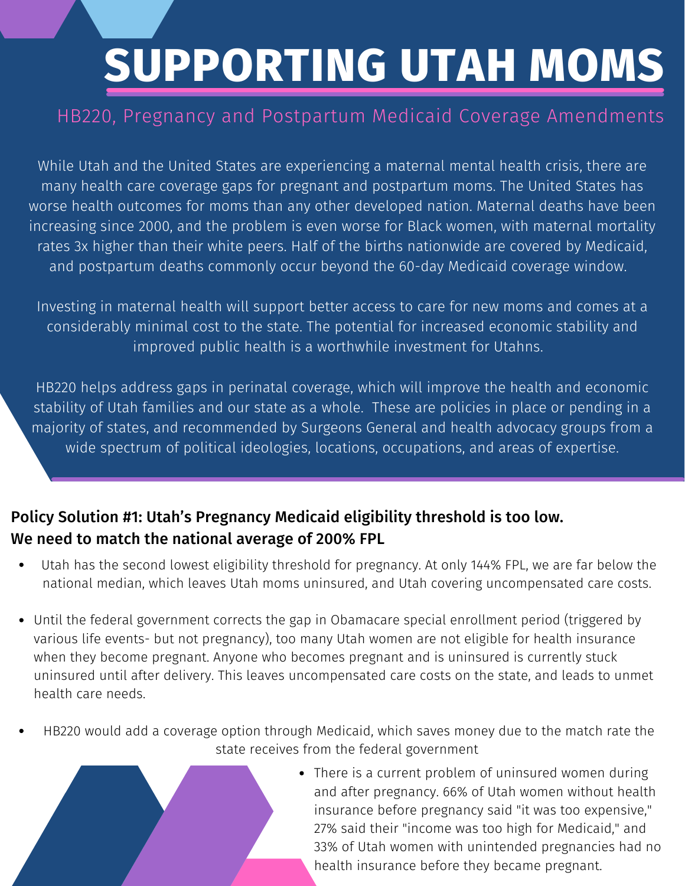# **SUPPORTING UTAH MOMS**

### HB220, Pregnancy and Postpartum Medicaid Coverage Amendments

While Utah and the United States are experiencing a maternal mental health crisis, there are many health care coverage gaps for pregnant and postpartum moms. The United States has worse health outcomes for moms than any other developed nation. Maternal deaths have been increasing since 2000, and the problem is even worse for Black women, with maternal mortality rates 3x higher than their white peers. Half of the births nationwide are covered by Medicaid, and postpartum deaths commonly occur beyond the 60-day Medicaid coverage window.

Investing in maternal health will support better access to care for new moms and comes at a considerably minimal cost to the state. The potential for increased economic stability and improved public health is a worthwhile investment for Utahns.

HB220 helps address gaps in perinatal coverage, which will improve the health and economic stability of Utah families and our state as a whole. These are policies in place or pending in a majority of states, and recommended by Surgeons General and health advocacy groups from a wide spectrum of political ideologies, locations, occupations, and areas of expertise.

#### Policy Solution #1: Utah's Pregnancy Medicaid eligibility threshold is too low. We need to match the national average of 200% FPL

- Utah has the second lowest eligibility threshold for pregnancy. At only 144% FPL, we are far below the national median, which leaves Utah moms uninsured, and Utah covering uncompensated care costs.
- Until the federal government corrects the gap in Obamacare special enrollment period (triggered by various life events- but not pregnancy), too many Utah women are not eligible for health insurance when they become pregnant. Anyone who becomes pregnant and is uninsured is currently stuck uninsured until after delivery. This leaves uncompensated care costs on the state, and leads to unmet health care needs.
- HB220 would add a coverage option through Medicaid, which saves money due to the match rate the state receives from the federal government
	- There is a current problem of uninsured women during and after pregnancy. 66% of Utah women without health insurance before pregnancy said "it was too expensive," 27% said their "income was too high for Medicaid," and 33% of Utah women with unintended pregnancies had no health insurance before they became pregnant.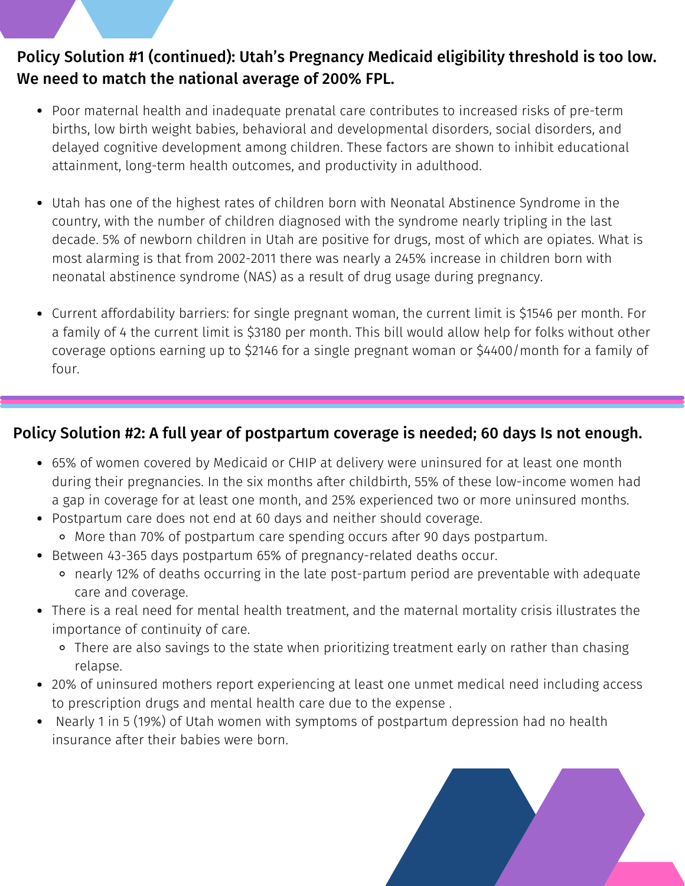#### Policy Solution #1 (continued): Utah's Pregnancy Medicaid eligibility threshold is too low. We need to match the national average of 200% FPL.

- Poor maternal health and inadequate prenatal care contributes to increased risks of pre-term births, low birth weight babies, behavioral and developmental disorders, social disorders, and delayed cognitive development among children. These factors are shown to inhibit educational attainment, long-term health outcomes, and productivity in adulthood.
- While Utah and the United States are experiencing a maternal mental health crisis, there are country, with the number of children diagnosed with the syndrome nearly tripling in the last decade. 5% of newborn children in Utah are positive for drugs, most of which are opiates. What is most alarming is that from 2002-2011 there was nearly a 245% increase in children born with neonatal abstinence syndrome (NAS) as a result of drug usage during pregnancy. Utah has one of the highest rates of children born with Neonatal Abstinence Syndrome in the
- a family of 4 the current limit is \$3180 per month. This bill would allow help for folks without other coverage options earning up to \$2146 for a single pregnant woman or \$4400/month for a family of Current affordability barriers: for single pregnant woman, the current limit is \$1546 per month. For four.

#### Policy Solution #2: A full year of postpartum coverage is needed; 60 days Is not enough.

- 65% of women covered by Medicaid or CHIP at delivery were uninsured for at least one month during their pregnancies. In the six months after childbirth, 55% of these low-income women had a gap in coverage for at least one month, and 25% experienced two or more uninsured months.
- Postpartum care does not end at 60 days and neither should coverage. More than 70% of postpartum care spending occurs after 90 days postpartum.
- Between 43-365 days postpartum 65% of pregnancy-related deaths occur.
	- nearly 12% of deaths occurring in the late post-partum period are preventable with adequate care and coverage.
- There is a real need for mental health treatment, and the maternal mortality crisis illustrates the importance of continuity of care.
	- o There are also savings to the state when prioritizing treatment early on rather than chasing relapse.
- 20% of uninsured mothers report experiencing at least one unmet medical need including access to prescription drugs and mental health care due to the expense .
- Nearly 1 in 5 (19%) of Utah women with symptoms of postpartum depression had no health insurance after their babies were born.

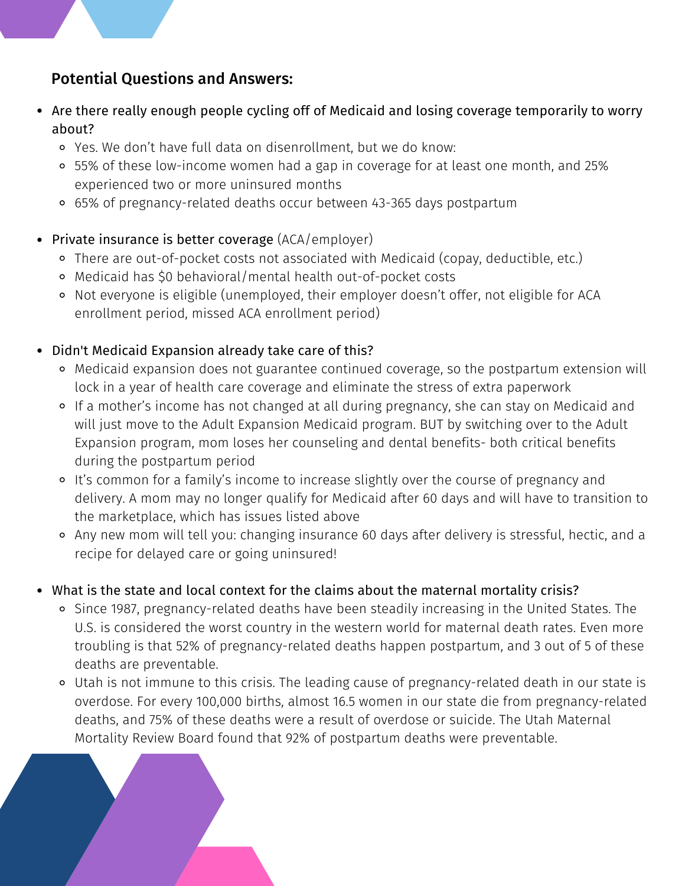#### Potential Questions and Answers:

- Are there really enough people cycling off of Medicaid and losing coverage temporarily to worry about?
	- Yes. We don't have full data on disenrollment, but we do know:
	- 55% of these low-income women had a gap in coverage for at least one month, and 25% experienced two or more uninsured months
- While Utah and the United States are experiencies and the United States are experiences and the United States are experiences.  $\circ$  65% of [pregnancy-related](https://mihp.utah.gov/perinatal-mortality-review) deaths occur between 43-365 days [postpartum](https://mihp.utah.gov/perinatal-mortality-review)
- Private insurance is better coverage (ACA/employer)
- o There are out-of-pocket costs not associated with Medicaid (copay, deductible, etc.)
	- $\circ$  Medicaid has \$0 behavioral/mental health out-of-pocket costs
		- o Not everyone is eligible (unemployed, their employer doesn't offer, not eligible for ACA enrollment period, missed ACA enrollment period)
- Didn't Medicaid Expansion already take care of this?
	- Medicaid expansion does not guarantee continued coverage, so the postpartum extension will lock in a year of health care coverage and eliminate the stress of extra paperwork
	- F220 helps in a mother is meonic mas not enanged at all daming pregnancy, site can stay on mearcala and experience the health and experience the health and experience the health and experience the health and experience the mit just more to the neate *Expansion moureate program, Bor by sintering over to the neat*<br>Expansion program, mom loses her counseling and dental benefits- both critical benefits If a mother's income has not changed at all during pregnancy, she can stay on Medicaid and will just move to the Adult Expansion Medicaid program. BUT by switching over to the Adult during the postpartum period
		- o It's common for a family's income to increase slightly over the course of pregnancy and delivery. A mom may no longer qualify for Medicaid after 60 days and will have to transition to the marketplace, which has issues listed above
		- Any new mom will tell you: changing insurance 60 days after delivery is stressful, hectic, and a recipe for delayed care or going uninsured!
- What is the state and local context for the claims about the maternal mortality crisis?
	- Since 1987, pregnancy-related deaths have been steadily increasing in the United States. The U.S. is considered the worst country in the western world for maternal death rates. Even more troubling is that 52% of [pregnancy-related](https://www.cdc.gov/vitalsigns/maternal-deaths/index.html#:~:text=About%20700%20women%20die%20from,to%201%20year%20after%20delivery.) deaths happen postpartum, and 3 out of 5 of these deaths are preventable.
	- Utah is not immune to this crisis. The leading cause of pregnancy-related death in our state is overdose. For every 100,000 births, almost 16.5 women in our state die from pregnancy-related deaths, and 75% of these deaths were a result of overdose or suicide. The Utah Maternal Mortality Review Board found that 92% of postpartum deaths were preventable.